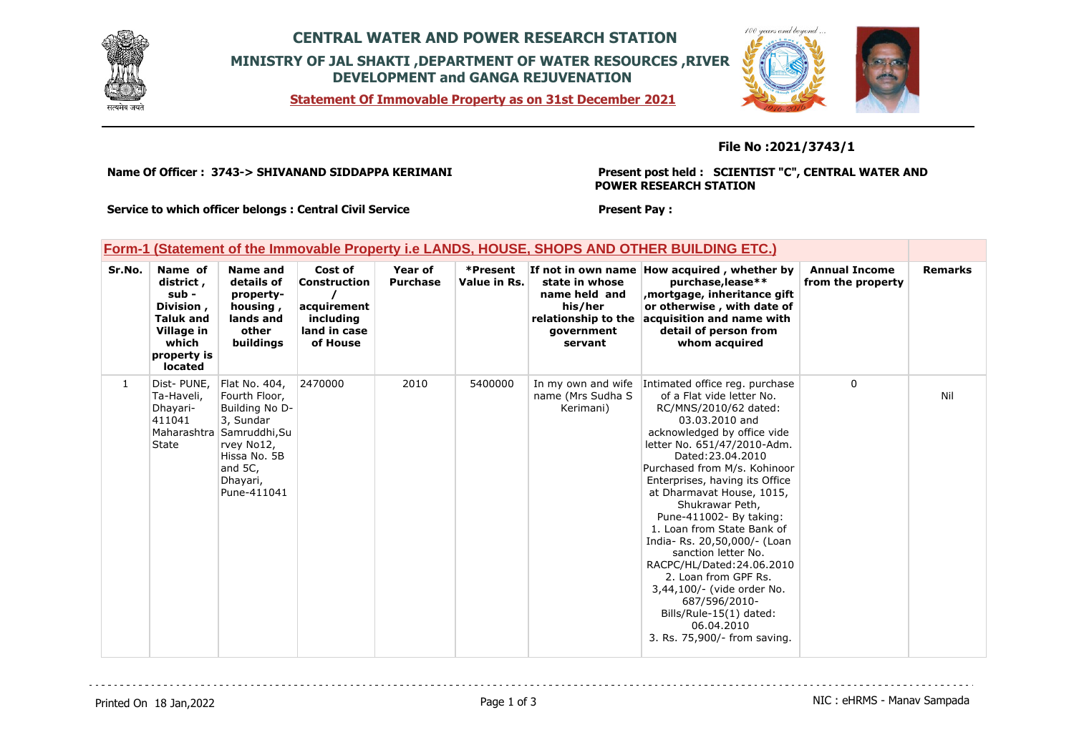

## **CENTRAL WATER AND POWER RESEARCH STATION MINISTRY OF JAL SHAKTI ,DEPARTMENT OF WATER RESOURCES ,RIVER DEVELOPMENT and GANGA REJUVENATION**

**Statement Of Immovable Property as on 31st December 2021**



### **File No :2021/3743/1**

**Name Of Officer : 3743-> SHIVANAND SIDDAPPA KERIMANI** 

**Present post held : SCIENTIST "C", CENTRAL WATER AND POWER RESEARCH STATION**

**Service to which officer belongs : Central Civil Service**

#### **Present Pay :**

### **Form-1 (Statement of the Immovable Property i.e LANDS, HOUSE, SHOPS AND OTHER BUILDING ETC.)**

| Sr.No. | Name of<br>district,<br>sub -<br>Division,<br><b>Taluk and</b><br>Village in<br>which<br>property is<br><b>located</b> | <b>Name and</b><br>details of<br>property-<br>housing,<br>lands and<br>other<br>buildings                                                                      | Cost of<br><b>Construction</b><br>acquirement<br>including<br>land in case<br>of House | Year of<br><b>Purchase</b> | *Present<br>Value in Rs. | state in whose<br>name held and<br>his/her<br>relationship to the<br>government<br>servant | If not in own name How acquired, whether by<br>purchase, lease**<br>mortgage, inheritance gift,<br>or otherwise, with date of<br>acquisition and name with<br>detail of person from<br>whom acquired                                                                                                                                                                                                                                                                                                                                                                                                    | <b>Annual Income</b><br>from the property | <b>Remarks</b> |
|--------|------------------------------------------------------------------------------------------------------------------------|----------------------------------------------------------------------------------------------------------------------------------------------------------------|----------------------------------------------------------------------------------------|----------------------------|--------------------------|--------------------------------------------------------------------------------------------|---------------------------------------------------------------------------------------------------------------------------------------------------------------------------------------------------------------------------------------------------------------------------------------------------------------------------------------------------------------------------------------------------------------------------------------------------------------------------------------------------------------------------------------------------------------------------------------------------------|-------------------------------------------|----------------|
| 1      | Dist-PUNE,<br>Ta-Haveli,<br>Dhayari-<br>411041<br><b>State</b>                                                         | Flat No. 404,<br>Fourth Floor,<br>Building No D-<br>3, Sundar<br>Maharashtra Samruddhi, Su<br>rvey No12,<br>Hissa No. 5B<br>and 5C,<br>Dhayari,<br>Pune-411041 | 2470000                                                                                | 2010                       | 5400000                  | In my own and wife<br>name (Mrs Sudha S<br>Kerimani)                                       | Intimated office reg. purchase<br>of a Flat vide letter No.<br>RC/MNS/2010/62 dated:<br>03.03.2010 and<br>acknowledged by office vide<br>letter No. 651/47/2010-Adm.<br>Dated: 23.04.2010<br>Purchased from M/s. Kohinoor<br>Enterprises, having its Office<br>at Dharmavat House, 1015,<br>Shukrawar Peth,<br>Pune-411002- By taking:<br>1. Loan from State Bank of<br>India-Rs. 20,50,000/- (Loan<br>sanction letter No.<br>RACPC/HL/Dated:24.06.2010<br>2. Loan from GPF Rs.<br>3,44,100/- (vide order No.<br>687/596/2010-<br>Bills/Rule-15(1) dated:<br>06.04.2010<br>3. Rs. 75,900/- from saving. | $\mathbf{0}$                              | Nil            |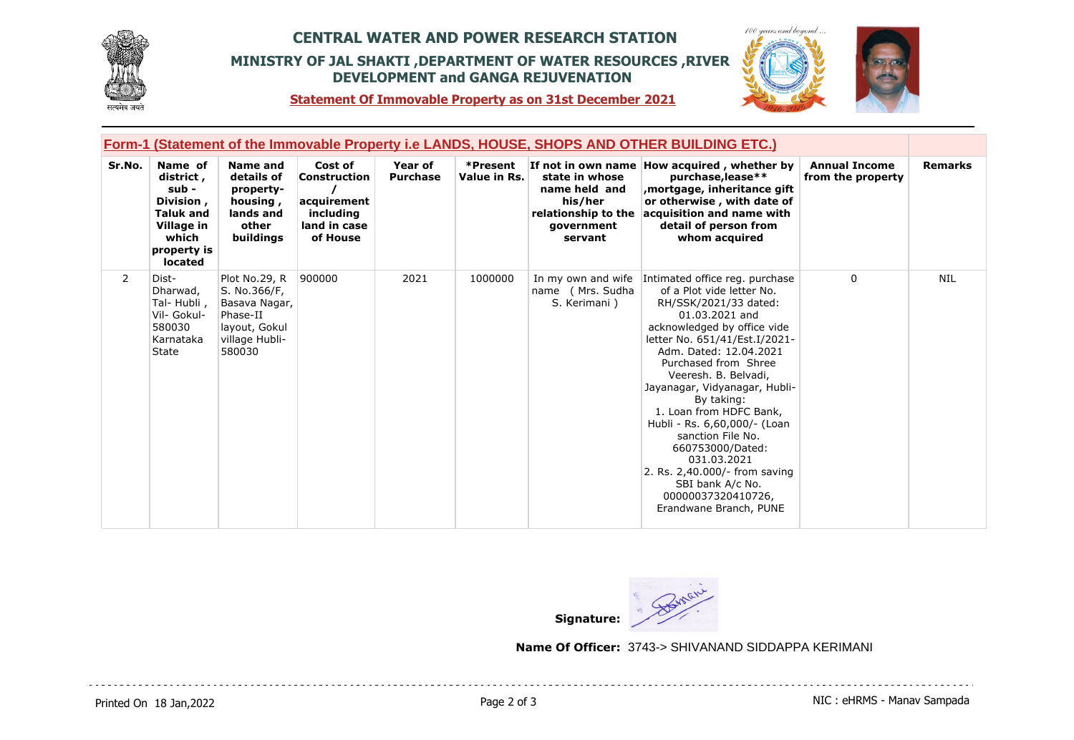

## **CENTRAL WATER AND POWER RESEARCH STATION MINISTRY OF JAL SHAKTI ,DEPARTMENT OF WATER RESOURCES ,RIVER DEVELOPMENT and GANGA REJUVENATION**



 $100$ 

**Statement Of Immovable Property as on 31st December 2021**

|                | Form-1 (Statement of the Immovable Property i.e LANDS, HOUSE, SHOPS AND OTHER BUILDING ETC.)                    |                                                                                                         |                                                                                        |                            |                          |                                                                                            |                                                                                                                                                                                                                                                                                                                                                                                                                                                                                                                         |                                           |                |  |
|----------------|-----------------------------------------------------------------------------------------------------------------|---------------------------------------------------------------------------------------------------------|----------------------------------------------------------------------------------------|----------------------------|--------------------------|--------------------------------------------------------------------------------------------|-------------------------------------------------------------------------------------------------------------------------------------------------------------------------------------------------------------------------------------------------------------------------------------------------------------------------------------------------------------------------------------------------------------------------------------------------------------------------------------------------------------------------|-------------------------------------------|----------------|--|
| Sr.No.         | Name of<br>district,<br>sub -<br>Division,<br><b>Taluk and</b><br>Village in<br>which<br>property is<br>located | <b>Name and</b><br>details of<br>property-<br>housing,<br>lands and<br>other<br>buildings               | Cost of<br><b>Construction</b><br>acquirement<br>including<br>land in case<br>of House | Year of<br><b>Purchase</b> | *Present<br>Value in Rs. | state in whose<br>name held and<br>his/her<br>relationship to the<br>government<br>servant | If not in own name How acquired, whether by<br>purchase, lease**<br>, mortgage, inheritance gift<br>or otherwise, with date of<br>acquisition and name with<br>detail of person from<br>whom acquired                                                                                                                                                                                                                                                                                                                   | <b>Annual Income</b><br>from the property | <b>Remarks</b> |  |
| $\overline{2}$ | Dist-<br>Dharwad,<br>Tal- Hubli,<br>Vil- Gokul-<br>580030<br>Karnataka<br><b>State</b>                          | Plot No.29, R<br>S. No.366/F,<br>Basava Nagar,<br>Phase-II<br>layout, Gokul<br>village Hubli-<br>580030 | 900000                                                                                 | 2021                       | 1000000                  | In my own and wife<br>name (Mrs. Sudha<br>S. Kerimani)                                     | Intimated office reg. purchase<br>of a Plot vide letter No.<br>RH/SSK/2021/33 dated:<br>01.03.2021 and<br>acknowledged by office vide<br>letter No. 651/41/Est.I/2021-<br>Adm. Dated: 12.04.2021<br>Purchased from Shree<br>Veeresh. B. Belvadi,<br>Jayanagar, Vidyanagar, Hubli-<br>By taking:<br>1. Loan from HDFC Bank,<br>Hubli - Rs. 6,60,000/- (Loan<br>sanction File No.<br>660753000/Dated:<br>031.03.2021<br>2. Rs. 2,40.000/- from saving<br>SBI bank A/c No.<br>00000037320410726,<br>Erandwane Branch, PUNE | $\mathbf{0}$                              | <b>NIL</b>     |  |



**Name Of Officer:** 3743-> SHIVANAND SIDDAPPA KERIMANI

Printed On 18 Jan, 2022 **Page 2 of 3** Page 2 of 3 NIC : eHRMS - Manav Sampada